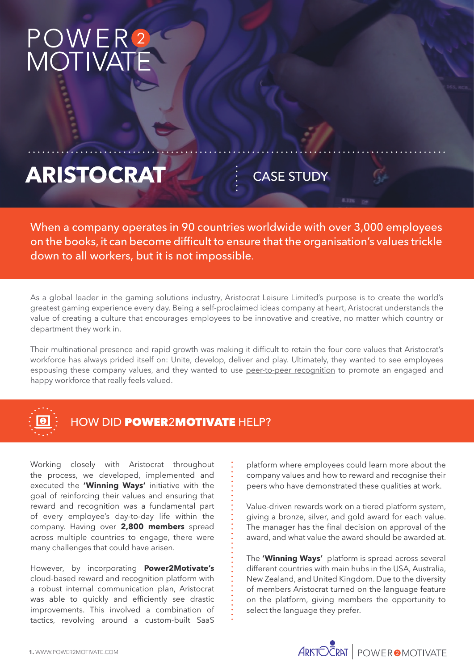# POWER<br>MOTIVAT

## ARISTOCRAT **CASE STUDY**

When a company operates in 90 countries worldwide with over 3,000 employees on the books, it can become difficult to ensure that the organisation's values trickle down to all workers, but it is not impossible.

As a global leader in the gaming solutions industry, Aristocrat Leisure Limited's purpose is to create the world's greatest gaming experience every day. Being a self-proclaimed ideas company at heart, Aristocrat understands the value of creating a culture that encourages employees to be innovative and creative, no matter which country or department they work in.

Their multinational presence and rapid growth was making it difficult to retain the four core values that Aristocrat's workforce has always prided itself on: Unite, develop, deliver and play. Ultimately, they wanted to see employees espousing these company values, and they wanted to use peer-to-peer recognition to promote an engaged and happy workforce that really feels valued.



#### HOW DID **POWER2MOTIVATE** HELP?

Working closely with Aristocrat throughout the process, we developed, implemented and executed the **'Winning Ways'** initiative with the goal of reinforcing their values and ensuring that reward and recognition was a fundamental part of every employee's day-to-day life within the company. Having over **2,800 members** spread across multiple countries to engage, there were many challenges that could have arisen.

However, by incorporating **Power2Motivate's**  cloud-based reward and recognition platform with a robust internal communication plan, Aristocrat was able to quickly and efficiently see drastic improvements. This involved a combination of tactics, revolving around a custom-built SaaS

platform where employees could learn more about the company values and how to reward and recognise their peers who have demonstrated these qualities at work.

Value-driven rewards work on a tiered platform system, giving a bronze, silver, and gold award for each value. The manager has the final decision on approval of the award, and what value the award should be awarded at.

The **'Winning Ways'** platform is spread across several different countries with main hubs in the USA, Australia, New Zealand, and United Kingdom. Due to the diversity of members Aristocrat turned on the language feature on the platform, giving members the opportunity to select the language they prefer.